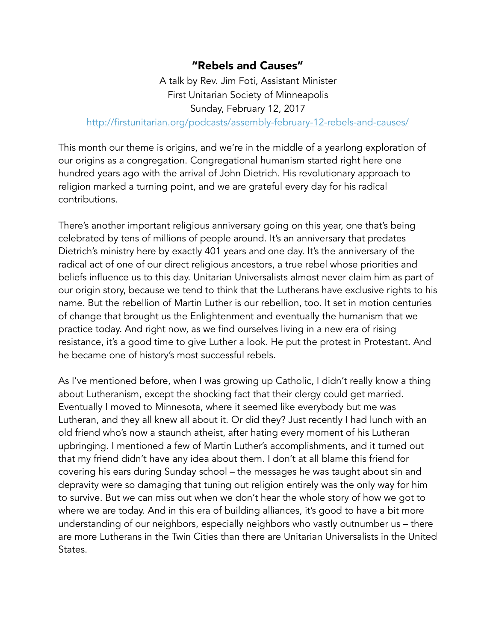## "Rebels and Causes"

A talk by Rev. Jim Foti, Assistant Minister First Unitarian Society of Minneapolis Sunday, February 12, 2017 <http://firstunitarian.org/podcasts/assembly-february-12-rebels-and-causes/>

This month our theme is origins, and we're in the middle of a yearlong exploration of our origins as a congregation. Congregational humanism started right here one hundred years ago with the arrival of John Dietrich. His revolutionary approach to religion marked a turning point, and we are grateful every day for his radical contributions.

There's another important religious anniversary going on this year, one that's being celebrated by tens of millions of people around. It's an anniversary that predates Dietrich's ministry here by exactly 401 years and one day. It's the anniversary of the radical act of one of our direct religious ancestors, a true rebel whose priorities and beliefs influence us to this day. Unitarian Universalists almost never claim him as part of our origin story, because we tend to think that the Lutherans have exclusive rights to his name. But the rebellion of Martin Luther is our rebellion, too. It set in motion centuries of change that brought us the Enlightenment and eventually the humanism that we practice today. And right now, as we find ourselves living in a new era of rising resistance, it's a good time to give Luther a look. He put the protest in Protestant. And he became one of history's most successful rebels.

As I've mentioned before, when I was growing up Catholic, I didn't really know a thing about Lutheranism, except the shocking fact that their clergy could get married. Eventually I moved to Minnesota, where it seemed like everybody but me was Lutheran, and they all knew all about it. Or did they? Just recently I had lunch with an old friend who's now a staunch atheist, after hating every moment of his Lutheran upbringing. I mentioned a few of Martin Luther's accomplishments, and it turned out that my friend didn't have any idea about them. I don't at all blame this friend for covering his ears during Sunday school – the messages he was taught about sin and depravity were so damaging that tuning out religion entirely was the only way for him to survive. But we can miss out when we don't hear the whole story of how we got to where we are today. And in this era of building alliances, it's good to have a bit more understanding of our neighbors, especially neighbors who vastly outnumber us – there are more Lutherans in the Twin Cities than there are Unitarian Universalists in the United States.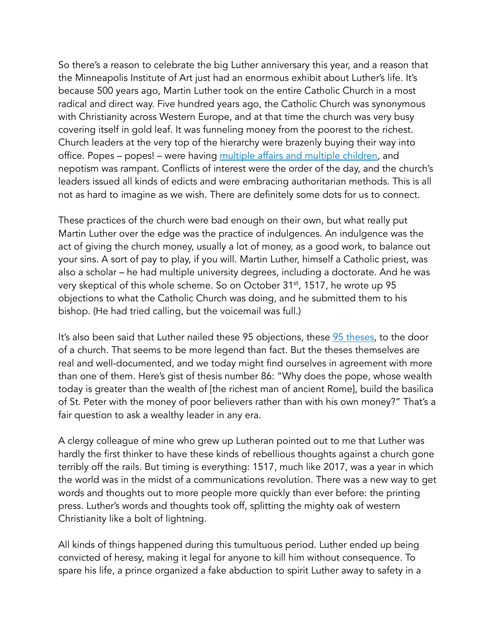So there's a reason to celebrate the big Luther anniversary this year, and a reason that the Minneapolis Institute of Art just had an enormous exhibit about Luther's life. It's because 500 years ago, Martin Luther took on the entire Catholic Church in a most radical and direct way. Five hundred years ago, the Catholic Church was synonymous with Christianity across Western Europe, and at that time the church was very busy covering itself in gold leaf. It was funneling money from the poorest to the richest. Church leaders at the very top of the hierarchy were brazenly buying their way into office. Popes – popes! – were having [multiple affairs and multiple children,](https://en.wikipedia.org/wiki/List_of_sexually_active_popes) and nepotism was rampant. Conflicts of interest were the order of the day, and the church's leaders issued all kinds of edicts and were embracing authoritarian methods. This is all not as hard to imagine as we wish. There are definitely some dots for us to connect.

These practices of the church were bad enough on their own, but what really put Martin Luther over the edge was the practice of indulgences. An indulgence was the act of giving the church money, usually a lot of money, as a good work, to balance out your sins. A sort of pay to play, if you will. Martin Luther, himself a Catholic priest, was also a scholar – he had multiple university degrees, including a doctorate. And he was very skeptical of this whole scheme. So on October 31st, 1517, he wrote up 95 objections to what the Catholic Church was doing, and he submitted them to his bishop. (He had tried calling, but the voicemail was full.)

It's also been said that Luther nailed these 95 objections, these [95 theses,](http://www.luther.de/en/95thesen.html) to the door of a church. That seems to be more legend than fact. But the theses themselves are real and well-documented, and we today might find ourselves in agreement with more than one of them. Here's gist of thesis number 86: "Why does the pope, whose wealth today is greater than the wealth of [the richest man of ancient Rome], build the basilica of St. Peter with the money of poor believers rather than with his own money?" That's a fair question to ask a wealthy leader in any era.

A clergy colleague of mine who grew up Lutheran pointed out to me that Luther was hardly the first thinker to have these kinds of rebellious thoughts against a church gone terribly off the rails. But timing is everything: 1517, much like 2017, was a year in which the world was in the midst of a communications revolution. There was a new way to get words and thoughts out to more people more quickly than ever before: the printing press. Luther's words and thoughts took off, splitting the mighty oak of western Christianity like a bolt of lightning.

All kinds of things happened during this tumultuous period. Luther ended up being convicted of heresy, making it legal for anyone to kill him without consequence. To spare his life, a prince organized a fake abduction to spirit Luther away to safety in a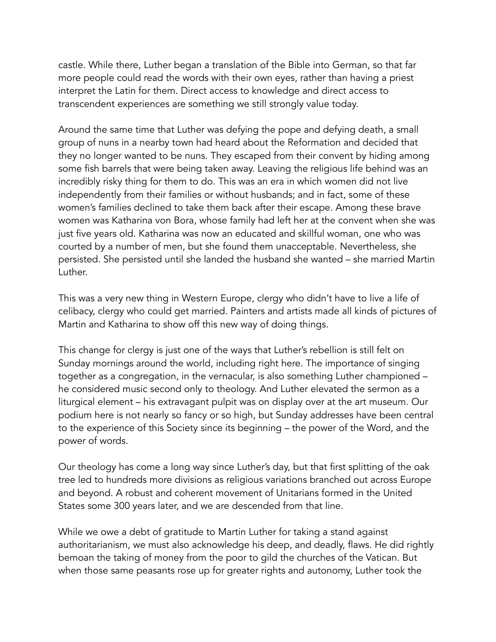castle. While there, Luther began a translation of the Bible into German, so that far more people could read the words with their own eyes, rather than having a priest interpret the Latin for them. Direct access to knowledge and direct access to transcendent experiences are something we still strongly value today.

Around the same time that Luther was defying the pope and defying death, a small group of nuns in a nearby town had heard about the Reformation and decided that they no longer wanted to be nuns. They escaped from their convent by hiding among some fish barrels that were being taken away. Leaving the religious life behind was an incredibly risky thing for them to do. This was an era in which women did not live independently from their families or without husbands; and in fact, some of these women's families declined to take them back after their escape. Among these brave women was Katharina von Bora, whose family had left her at the convent when she was just five years old. Katharina was now an educated and skillful woman, one who was courted by a number of men, but she found them unacceptable. Nevertheless, she persisted. She persisted until she landed the husband she wanted – she married Martin Luther.

This was a very new thing in Western Europe, clergy who didn't have to live a life of celibacy, clergy who could get married. Painters and artists made all kinds of pictures of Martin and Katharina to show off this new way of doing things.

This change for clergy is just one of the ways that Luther's rebellion is still felt on Sunday mornings around the world, including right here. The importance of singing together as a congregation, in the vernacular, is also something Luther championed – he considered music second only to theology. And Luther elevated the sermon as a liturgical element – his extravagant pulpit was on display over at the art museum. Our podium here is not nearly so fancy or so high, but Sunday addresses have been central to the experience of this Society since its beginning – the power of the Word, and the power of words.

Our theology has come a long way since Luther's day, but that first splitting of the oak tree led to hundreds more divisions as religious variations branched out across Europe and beyond. A robust and coherent movement of Unitarians formed in the United States some 300 years later, and we are descended from that line.

While we owe a debt of gratitude to Martin Luther for taking a stand against authoritarianism, we must also acknowledge his deep, and deadly, flaws. He did rightly bemoan the taking of money from the poor to gild the churches of the Vatican. But when those same peasants rose up for greater rights and autonomy, Luther took the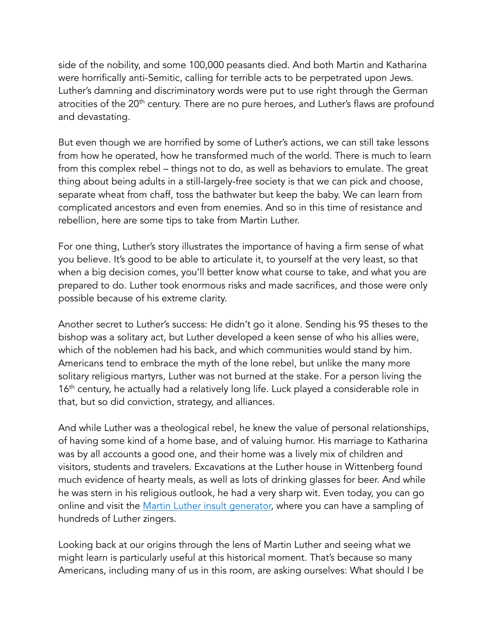side of the nobility, and some 100,000 peasants died. And both Martin and Katharina were horrifically anti-Semitic, calling for terrible acts to be perpetrated upon Jews. Luther's damning and discriminatory words were put to use right through the German atrocities of the 20<sup>th</sup> century. There are no pure heroes, and Luther's flaws are profound and devastating.

But even though we are horrified by some of Luther's actions, we can still take lessons from how he operated, how he transformed much of the world. There is much to learn from this complex rebel – things not to do, as well as behaviors to emulate. The great thing about being adults in a still-largely-free society is that we can pick and choose, separate wheat from chaff, toss the bathwater but keep the baby. We can learn from complicated ancestors and even from enemies. And so in this time of resistance and rebellion, here are some tips to take from Martin Luther.

For one thing, Luther's story illustrates the importance of having a firm sense of what you believe. It's good to be able to articulate it, to yourself at the very least, so that when a big decision comes, you'll better know what course to take, and what you are prepared to do. Luther took enormous risks and made sacrifices, and those were only possible because of his extreme clarity.

Another secret to Luther's success: He didn't go it alone. Sending his 95 theses to the bishop was a solitary act, but Luther developed a keen sense of who his allies were, which of the noblemen had his back, and which communities would stand by him. Americans tend to embrace the myth of the lone rebel, but unlike the many more solitary religious martyrs, Luther was not burned at the stake. For a person living the 16<sup>th</sup> century, he actually had a relatively long life. Luck played a considerable role in that, but so did conviction, strategy, and alliances.

And while Luther was a theological rebel, he knew the value of personal relationships, of having some kind of a home base, and of valuing humor. His marriage to Katharina was by all accounts a good one, and their home was a lively mix of children and visitors, students and travelers. Excavations at the Luther house in Wittenberg found much evidence of hearty meals, as well as lots of drinking glasses for beer. And while he was stern in his religious outlook, he had a very sharp wit. Even today, you can go online and visit the [Martin Luther insult generator,](http://ergofabulous.org/luther/) where you can have a sampling of hundreds of Luther zingers.

Looking back at our origins through the lens of Martin Luther and seeing what we might learn is particularly useful at this historical moment. That's because so many Americans, including many of us in this room, are asking ourselves: What should I be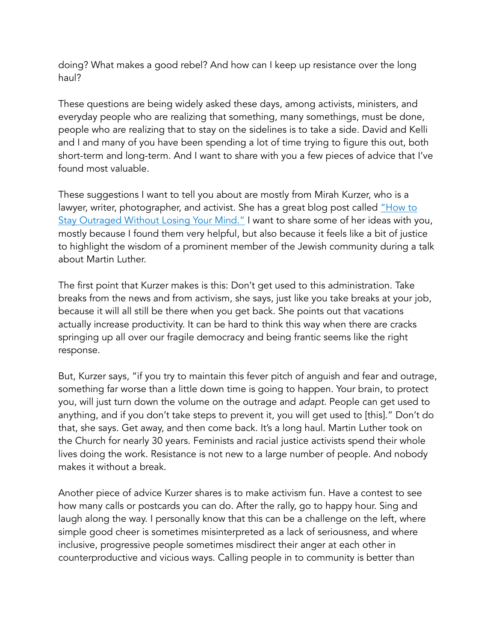doing? What makes a good rebel? And how can I keep up resistance over the long haul?

These questions are being widely asked these days, among activists, ministers, and everyday people who are realizing that something, many somethings, must be done, people who are realizing that to stay on the sidelines is to take a side. David and Kelli and I and many of you have been spending a lot of time trying to figure this out, both short-term and long-term. And I want to share with you a few pieces of advice that I've found most valuable.

These suggestions I want to tell you about are mostly from Mirah Kurzer, who is a lawyer, writer, photographer, and activist. She has a great blog post called "How to Stay Outraged Without Losing Your Mind." I want to share some of her ideas with you, mostly because I found them very helpful, but also because it feels like a bit of justice to highlight the wisdom of a prominent member of the Jewish community during a talk about Martin Luther.

The first point that Kurzer makes is this: Don't get used to this administration. Take breaks from the news and from activism, she says, just like you take breaks at your job, because it will all still be there when you get back. She points out that vacations actually increase productivity. It can be hard to think this way when there are cracks springing up all over our fragile democracy and being frantic seems like the right response.

But, Kurzer says, "if you try to maintain this fever pitch of anguish and fear and outrage, something far worse than a little down time is going to happen. Your brain, to protect you, will just turn down the volume on the outrage and *adapt*. People can get used to anything, and if you don't take steps to prevent it, you will get used to [this]." Don't do that, she says. Get away, and then come back. It's a long haul. Martin Luther took on the Church for nearly 30 years. Feminists and racial justice activists spend their whole lives doing the work. Resistance is not new to a large number of people. And nobody makes it without a break.

Another piece of advice Kurzer shares is to make activism fun. Have a contest to see how many calls or postcards you can do. After the rally, go to happy hour. Sing and laugh along the way. I personally know that this can be a challenge on the left, where simple good cheer is sometimes misinterpreted as a lack of seriousness, and where inclusive, progressive people sometimes misdirect their anger at each other in counterproductive and vicious ways. Calling people in to community is better than